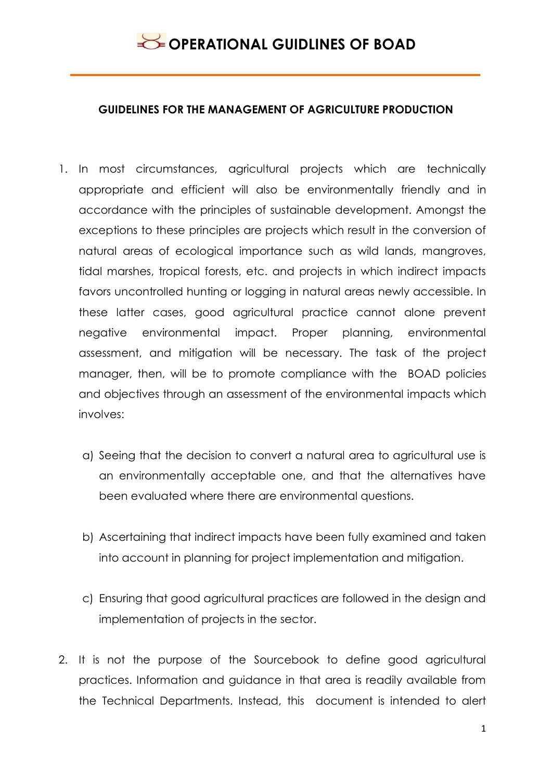#### **GUIDELINES FOR THE MANAGEMENT OF AGRICULTURE PRODUCTION**

- 1. In most circumstances, agricultural projects which are technically appropriate and efficient will also be environmentally friendly and in accordance with the principles of sustainable development. Amongst the exceptions to these principles are projects which result in the conversion of natural areas of ecological importance such as wild lands, mangroves, tidal marshes, tropical forests, etc. and projects in which indirect impacts favors uncontrolled hunting or logging in natural areas newly accessible. In these latter cases, good agricultural practice cannot alone prevent negative environmental impact. Proper planning, environmental assessment, and mitigation will be necessary. The task of the project manager, then, will be to promote compliance with the BOAD policies and objectives through an assessment of the environmental impacts which involves:
	- a) Seeing that the decision to convert a natural area to agricultural use is an environmentally acceptable one, and that the alternatives have been evaluated where there are environmental questions.
	- b) Ascertaining that indirect impacts have been fully examined and taken into account in planning for project implementation and mitigation.
	- c) Ensuring that good agricultural practices are followed in the design and implementation of projects in the sector.
- 2. It is not the purpose of the Sourcebook to define good agricultural practices. Information and guidance in that area is readily available from the Technical Departments. Instead, this document is intended to alert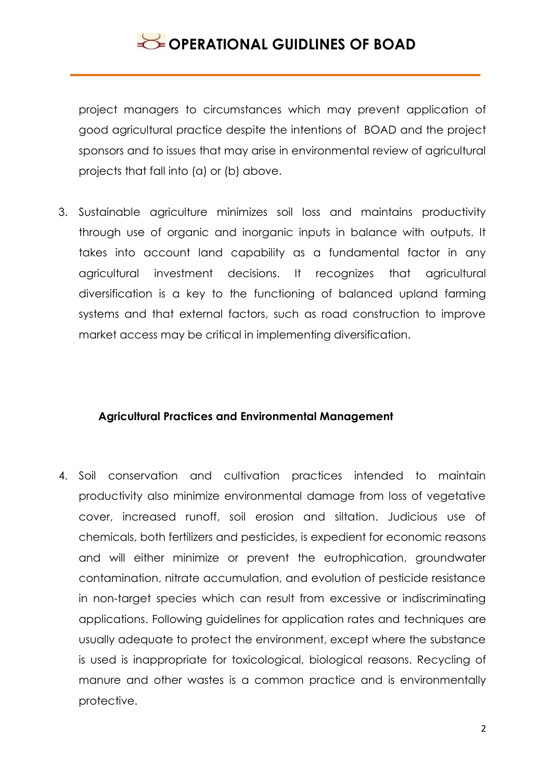# **OPERATIONAL GUIDLINES OF BOAD**

project managers to circumstances which may prevent application of good agricultural practice despite the intentions of BOAD and the project sponsors and to issues that may arise in environmental review of agricultural projects that fall into (a) or (b) above.

3. Sustainable agriculture minimizes soil loss and maintains productivity through use of organic and inorganic inputs in balance with outputs. It takes into account land capability as a fundamental factor in any agricultural investment decisions. It recognizes that agricultural diversification is a key to the functioning of balanced upland farming systems and that external factors, such as road construction to improve market access may be critical in implementing diversification.

#### **Agricultural Practices and Environmental Management**

4. Soil conservation and cultivation practices intended to maintain productivity also minimize environmental damage from loss of vegetative cover, increased runoff, soil erosion and siltation. Judicious use of chemicals, both fertilizers and pesticides, is expedient for economic reasons and will either minimize or prevent the eutrophication, groundwater contamination, nitrate accumulation, and evolution of pesticide resistance in non-target species which can result from excessive or indiscriminating applications. Following guidelines for application rates and techniques are usually adequate to protect the environment, except where the substance is used is inappropriate for toxicological, biological reasons. Recycling of manure and other wastes is a common practice and is environmentally protective.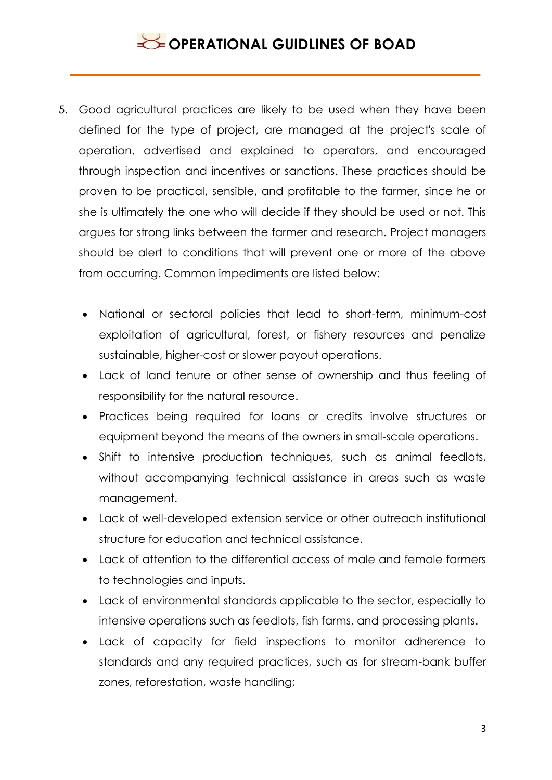# **OPERATIONAL GUIDLINES OF BOAD**

- 5. Good agricultural practices are likely to be used when they have been defined for the type of project, are managed at the project's scale of operation, advertised and explained to operators, and encouraged through inspection and incentives or sanctions. These practices should be proven to be practical, sensible, and profitable to the farmer, since he or she is ultimately the one who will decide if they should be used or not. This argues for strong links between the farmer and research. Project managers should be alert to conditions that will prevent one or more of the above from occurring. Common impediments are listed below:
	- National or sectoral policies that lead to short-term, minimum-cost exploitation of agricultural, forest, or fishery resources and penalize sustainable, higher-cost or slower payout operations.
	- Lack of land tenure or other sense of ownership and thus feeling of responsibility for the natural resource.
	- Practices being required for loans or credits involve structures or equipment beyond the means of the owners in small-scale operations.
	- Shift to intensive production techniques, such as animal feedlots, without accompanying technical assistance in areas such as waste management.
	- Lack of well-developed extension service or other outreach institutional structure for education and technical assistance.
	- Lack of attention to the differential access of male and female farmers to technologies and inputs.
	- Lack of environmental standards applicable to the sector, especially to intensive operations such as feedlots, fish farms, and processing plants.
	- Lack of capacity for field inspections to monitor adherence to standards and any required practices, such as for stream-bank buffer zones, reforestation, waste handling;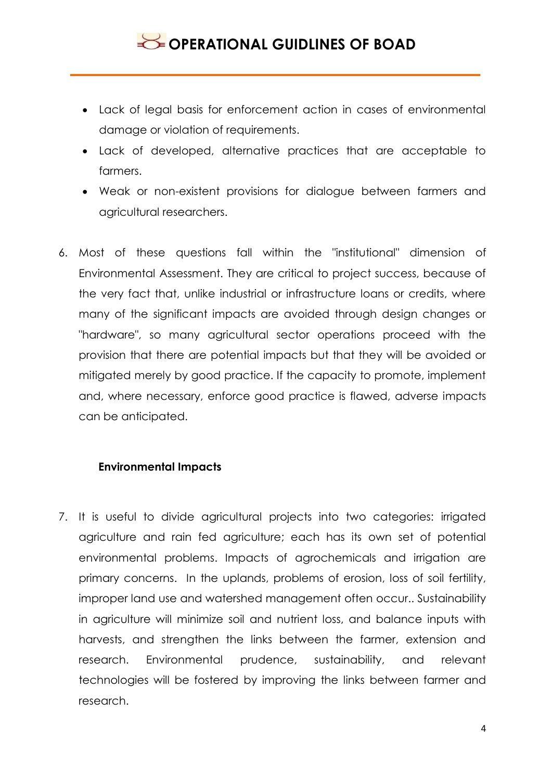- Lack of legal basis for enforcement action in cases of environmental damage or violation of requirements.
- Lack of developed, alternative practices that are acceptable to farmers.
- Weak or non-existent provisions for dialogue between farmers and agricultural researchers.
- 6. Most of these questions fall within the "institutional" dimension of Environmental Assessment. They are critical to project success, because of the very fact that, unlike industrial or infrastructure loans or credits, where many of the significant impacts are avoided through design changes or "hardware", so many agricultural sector operations proceed with the provision that there are potential impacts but that they will be avoided or mitigated merely by good practice. If the capacity to promote, implement and, where necessary, enforce good practice is flawed, adverse impacts can be anticipated.

## **Environmental Impacts**

7. It is useful to divide agricultural projects into two categories: irrigated agriculture and rain fed agriculture; each has its own set of potential environmental problems. Impacts of agrochemicals and irrigation are primary concerns. In the uplands, problems of erosion, loss of soil fertility, improper land use and watershed management often occur.. Sustainability in agriculture will minimize soil and nutrient loss, and balance inputs with harvests, and strengthen the links between the farmer, extension and research. Environmental prudence, sustainability, and relevant technologies will be fostered by improving the links between farmer and research.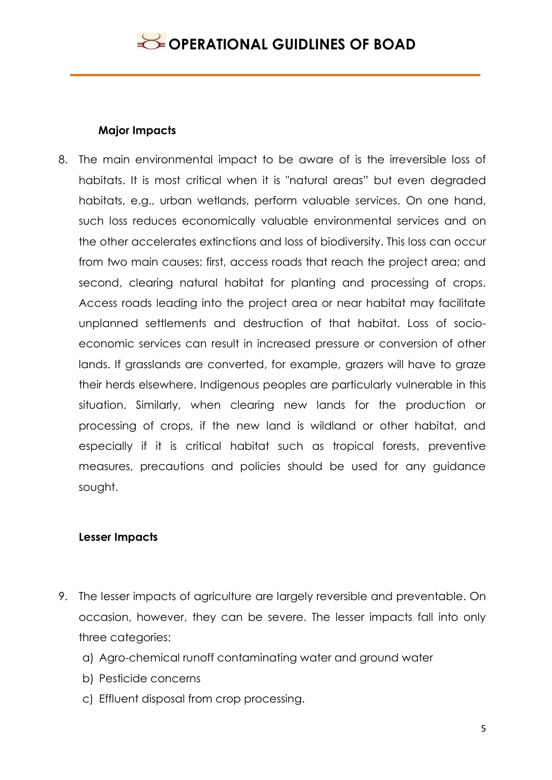#### **Major Impacts**

8. The main environmental impact to be aware of is the irreversible loss of habitats. It is most critical when it is "natural areas" but even degraded habitats, e.g., urban wetlands, perform valuable services. On one hand, such loss reduces economically valuable environmental services and on the other accelerates extinctions and loss of biodiversity. This loss can occur from two main causes: first, access roads that reach the project area; and second, clearing natural habitat for planting and processing of crops. Access roads leading into the project area or near habitat may facilitate unplanned settlements and destruction of that habitat. Loss of socioeconomic services can result in increased pressure or conversion of other lands. If grasslands are converted, for example, grazers will have to graze their herds elsewhere. Indigenous peoples are particularly vulnerable in this situation. Similarly, when clearing new lands for the production or processing of crops, if the new land is wildland or other habitat, and especially if it is critical habitat such as tropical forests, preventive measures, precautions and policies should be used for any guidance sought.

## **Lesser Impacts**

- 9. The lesser impacts of agriculture are largely reversible and preventable. On occasion, however, they can be severe. The lesser impacts fall into only three categories:
	- a) Agro-chemical runoff contaminating water and ground water
	- b) Pesticide concerns
	- c) Effluent disposal from crop processing.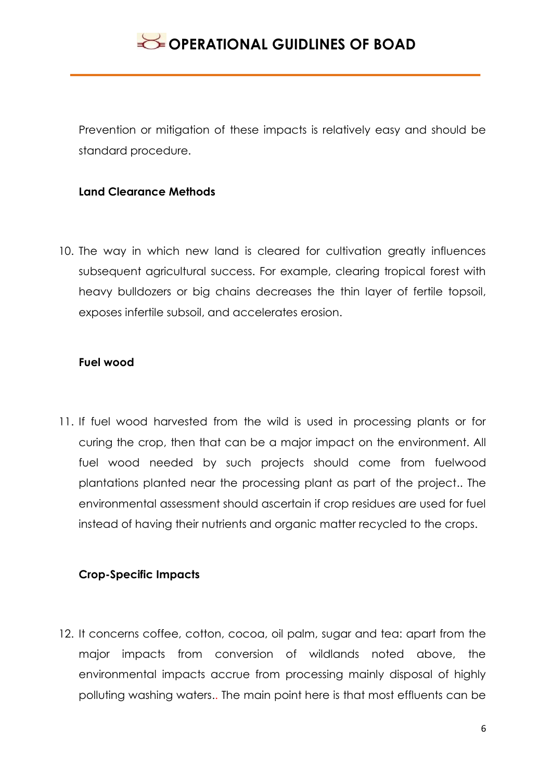Prevention or mitigation of these impacts is relatively easy and should be standard procedure.

#### **Land Clearance Methods**

10. The way in which new land is cleared for cultivation greatly influences subsequent agricultural success. For example, clearing tropical forest with heavy bulldozers or big chains decreases the thin layer of fertile topsoil, exposes infertile subsoil, and accelerates erosion.

#### **Fuel wood**

11. If fuel wood harvested from the wild is used in processing plants or for curing the crop, then that can be a major impact on the environment. All fuel wood needed by such projects should come from fuelwood plantations planted near the processing plant as part of the project.. The environmental assessment should ascertain if crop residues are used for fuel instead of having their nutrients and organic matter recycled to the crops.

# **Crop-Specific Impacts**

12. It concerns coffee, cotton, cocoa, oil palm, sugar and tea: apart from the major impacts from conversion of wildlands noted above, the environmental impacts accrue from processing mainly disposal of highly polluting washing waters.. The main point here is that most effluents can be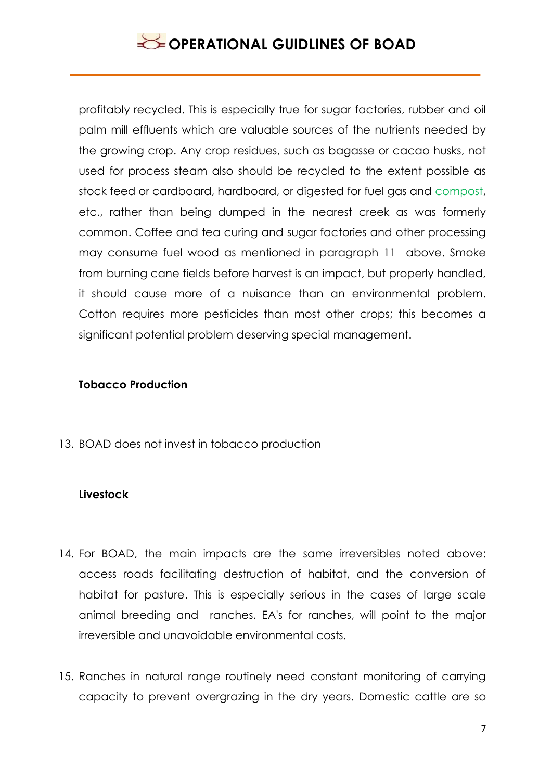profitably recycled. This is especially true for sugar factories, rubber and oil palm mill effluents which are valuable sources of the nutrients needed by the growing crop. Any crop residues, such as bagasse or cacao husks, not used for process steam also should be recycled to the extent possible as stock feed or cardboard, hardboard, or digested for fuel gas and compost, etc., rather than being dumped in the nearest creek as was formerly common. Coffee and tea curing and sugar factories and other processing may consume fuel wood as mentioned in paragraph 11 above. Smoke from burning cane fields before harvest is an impact, but properly handled, it should cause more of a nuisance than an environmental problem. Cotton requires more pesticides than most other crops; this becomes a significant potential problem deserving special management.

### **Tobacco Production**

13. BOAD does not invest in tobacco production

## **Livestock**

- 14. For BOAD, the main impacts are the same irreversibles noted above: access roads facilitating destruction of habitat, and the conversion of habitat for pasture. This is especially serious in the cases of large scale animal breeding and ranches. EA's for ranches, will point to the major irreversible and unavoidable environmental costs.
- 15. Ranches in natural range routinely need constant monitoring of carrying capacity to prevent overgrazing in the dry years. Domestic cattle are so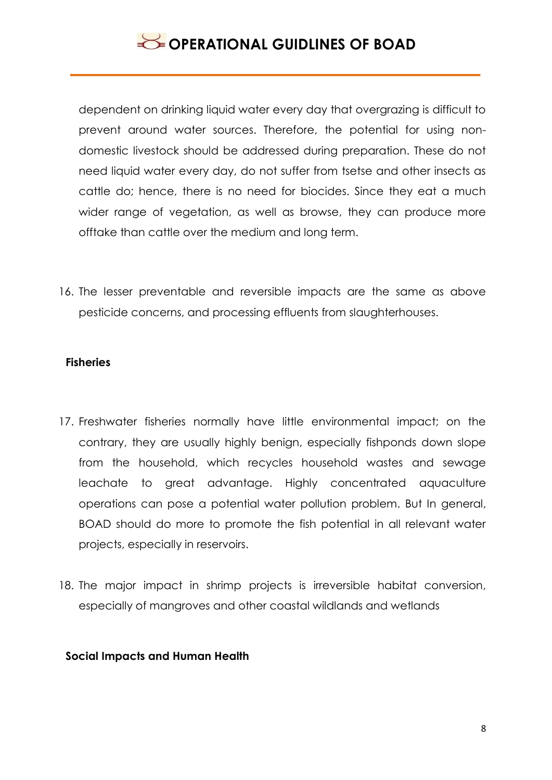dependent on drinking liquid water every day that overgrazing is difficult to prevent around water sources. Therefore, the potential for using nondomestic livestock should be addressed during preparation. These do not need liquid water every day, do not suffer from tsetse and other insects as cattle do; hence, there is no need for biocides. Since they eat a much wider range of vegetation, as well as browse, they can produce more offtake than cattle over the medium and long term.

16. The lesser preventable and reversible impacts are the same as above pesticide concerns, and processing effluents from slaughterhouses.

#### **Fisheries**

- 17. Freshwater fisheries normally have little environmental impact; on the contrary, they are usually highly benign, especially fishponds down slope from the household, which recycles household wastes and sewage leachate to great advantage. Highly concentrated aquaculture operations can pose a potential water pollution problem. But In general, BOAD should do more to promote the fish potential in all relevant water projects, especially in reservoirs.
- 18. The major impact in shrimp projects is irreversible habitat conversion, especially of mangroves and other coastal wildlands and wetlands

#### **Social Impacts and Human Health**